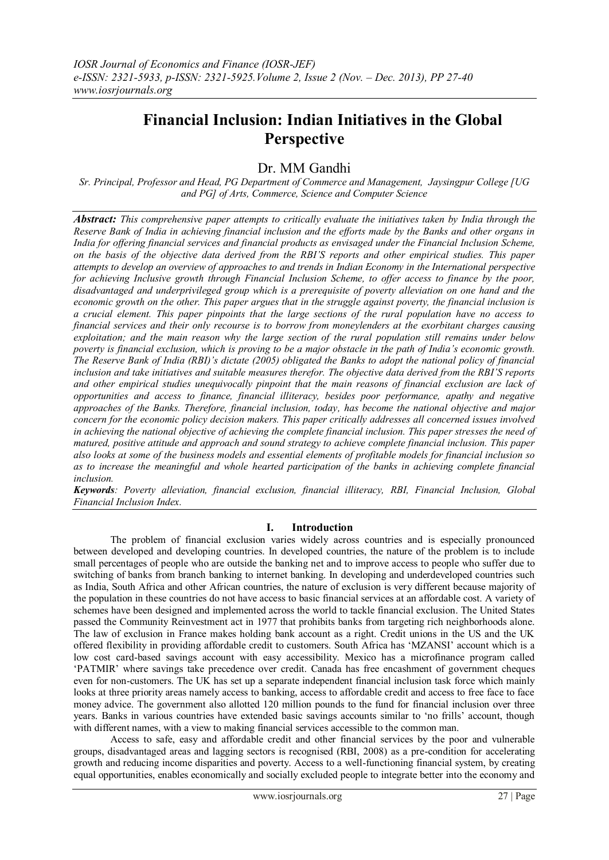# **Financial Inclusion: Indian Initiatives in the Global Perspective**

## Dr. MM Gandhi

*Sr. Principal, Professor and Head, PG Department of Commerce and Management, Jaysingpur College [UG and PG] of Arts, Commerce, Science and Computer Science*

*Abstract: This comprehensive paper attempts to critically evaluate the initiatives taken by India through the Reserve Bank of India in achieving financial inclusion and the efforts made by the Banks and other organs in India for offering financial services and financial products as envisaged under the Financial Inclusion Scheme, on the basis of the objective data derived from the RBI'S reports and other empirical studies. This paper attempts to develop an overview of approaches to and trends in Indian Economy in the International perspective for achieving Inclusive growth through Financial Inclusion Scheme, to offer access to finance by the poor, disadvantaged and underprivileged group which is a prerequisite of poverty alleviation on one hand and the economic growth on the other. This paper argues that in the struggle against poverty, the financial inclusion is a crucial element. This paper pinpoints that the large sections of the rural population have no access to financial services and their only recourse is to borrow from moneylenders at the exorbitant charges causing exploitation; and the main reason why the large section of the rural population still remains under below poverty is financial exclusion, which is proving to be a major obstacle in the path of India's economic growth. The Reserve Bank of India (RBI)'s dictate (2005) obligated the Banks to adopt the national policy of financial inclusion and take initiatives and suitable measures therefor. The objective data derived from the RBI'S reports and other empirical studies unequivocally pinpoint that the main reasons of financial exclusion are lack of opportunities and access to finance, financial illiteracy, besides poor performance, apathy and negative approaches of the Banks. Therefore, financial inclusion, today, has become the national objective and major concern for the economic policy decision makers. This paper critically addresses all concerned issues involved in achieving the national objective of achieving the complete financial inclusion. This paper stresses the need of matured, positive attitude and approach and sound strategy to achieve complete financial inclusion. This paper also looks at some of the business models and essential elements of profitable models for financial inclusion so as to increase the meaningful and whole hearted participation of the banks in achieving complete financial inclusion.* 

*Keywords: Poverty alleviation, financial exclusion, financial illiteracy, RBI, Financial Inclusion, Global Financial Inclusion Index.*

## **I. Introduction**

The problem of financial exclusion varies widely across countries and is especially pronounced between developed and developing countries. In developed countries, the nature of the problem is to include small percentages of people who are outside the banking net and to improve access to people who suffer due to switching of banks from branch banking to internet banking. In developing and underdeveloped countries such as India, South Africa and other African countries, the nature of exclusion is very different because majority of the population in these countries do not have access to basic financial services at an affordable cost. A variety of schemes have been designed and implemented across the world to tackle financial exclusion. The United States passed the Community Reinvestment act in 1977 that prohibits banks from targeting rich neighborhoods alone. The law of exclusion in France makes holding bank account as a right. Credit unions in the US and the UK offered flexibility in providing affordable credit to customers. South Africa has "MZANSI" account which is a low cost card-based savings account with easy accessibility. Mexico has a microfinance program called "PATMIR" where savings take precedence over credit. Canada has free encashment of government cheques even for non-customers. The UK has set up a separate independent financial inclusion task force which mainly looks at three priority areas namely access to banking, access to affordable credit and access to free face to face money advice. The government also allotted 120 million pounds to the fund for financial inclusion over three years. Banks in various countries have extended basic savings accounts similar to "no frills" account, though with different names, with a view to making financial services accessible to the common man.

Access to safe, easy and affordable credit and other financial services by the poor and vulnerable groups, disadvantaged areas and lagging sectors is recognised (RBI, 2008) as a pre-condition for accelerating growth and reducing income disparities and poverty. Access to a well-functioning financial system, by creating equal opportunities, enables economically and socially excluded people to integrate better into the economy and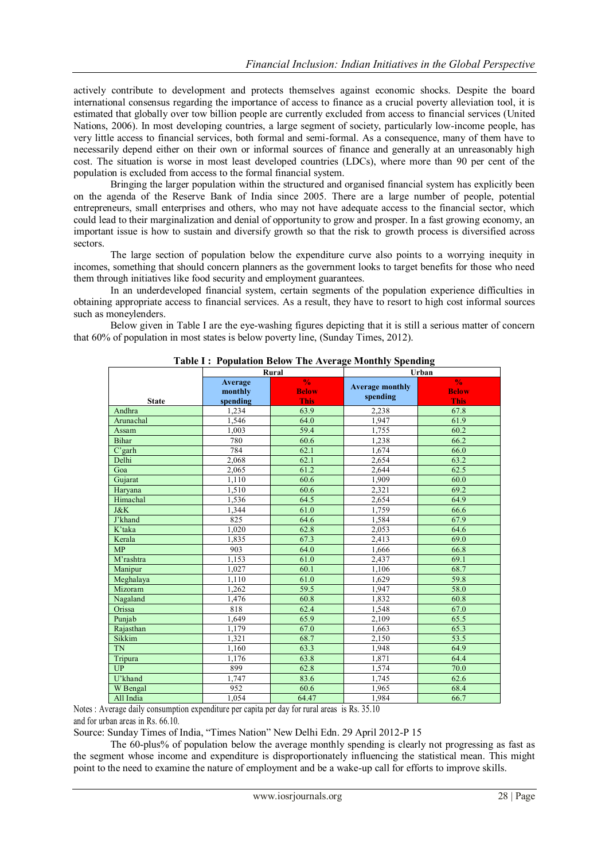actively contribute to development and protects themselves against economic shocks. Despite the board international consensus regarding the importance of access to finance as a crucial poverty alleviation tool, it is estimated that globally over tow billion people are currently excluded from access to financial services (United Nations, 2006). In most developing countries, a large segment of society, particularly low-income people, has very little access to financial services, both formal and semi-formal. As a consequence, many of them have to necessarily depend either on their own or informal sources of finance and generally at an unreasonably high cost. The situation is worse in most least developed countries (LDCs), where more than 90 per cent of the population is excluded from access to the formal financial system.

Bringing the larger population within the structured and organised financial system has explicitly been on the agenda of the Reserve Bank of India since 2005. There are a large number of people, potential entrepreneurs, small enterprises and others, who may not have adequate access to the financial sector, which could lead to their marginalization and denial of opportunity to grow and prosper. In a fast growing economy, an important issue is how to sustain and diversify growth so that the risk to growth process is diversified across sectors.

The large section of population below the expenditure curve also points to a worrying inequity in incomes, something that should concern planners as the government looks to target benefits for those who need them through initiatives like food security and employment guarantees.

In an underdeveloped financial system, certain segments of the population experience difficulties in obtaining appropriate access to financial services. As a result, they have to resort to high cost informal sources such as moneylenders.

Below given in Table I are the eye-washing figures depicting that it is still a serious matter of concern that 60% of population in most states is below poverty line, (Sunday Times, 2012).

|              |                                | Rural                                        |                                    | Urban                                 |  |  |
|--------------|--------------------------------|----------------------------------------------|------------------------------------|---------------------------------------|--|--|
| <b>State</b> | Average<br>monthly<br>spending | $\frac{0}{6}$<br><b>Below</b><br><b>This</b> | <b>Average monthly</b><br>spending | $\frac{0}{6}$<br><b>Below</b><br>This |  |  |
| Andhra       | 1,234                          | 63.9                                         | 2,238                              | 67.8                                  |  |  |
| Arunachal    | 1,546                          | 64.0                                         | 1,947                              | 61.9                                  |  |  |
| Assam        | 1,003                          | 59.4                                         | 1,755                              | 60.2                                  |  |  |
| <b>Bihar</b> | 780                            | 60.6                                         | 1,238                              | 66.2                                  |  |  |
| C'garh       | 784                            | 62.1                                         | 1,674                              | 66.0                                  |  |  |
| Delhi        | 2.068                          | 62.1                                         | 2,654                              | 63.2                                  |  |  |
| Goa          | 2,065                          | 61.2                                         | 2,644                              | 62.5                                  |  |  |
| Gujarat      | 1,110                          | 60.6                                         | 1,909                              | 60.0                                  |  |  |
| Haryana      | 1,510                          | 60.6                                         | 2.321                              | 69.2                                  |  |  |
| Himachal     | 1,536                          | 64.5                                         | 2,654                              | 64.9                                  |  |  |
| J&K          | 1,344                          | 61.0                                         | 1.759                              | 66.6                                  |  |  |
| J'khand      | 825                            | 64.6                                         | 1,584                              | 67.9                                  |  |  |
| K'taka       | 1,020                          | 62.8                                         | 2,053                              | 64.6                                  |  |  |
| Kerala       | 1,835                          | 67.3                                         | 2,413                              | 69.0                                  |  |  |
| MP           | 903                            | 64.0                                         | 1,666                              | 66.8                                  |  |  |
| M'rashtra    | 1.153                          | 61.0                                         | 2.437                              | 69.1                                  |  |  |
| Manipur      | 1,027                          | 60.1                                         | 1,106                              | 68.7                                  |  |  |
| Meghalaya    | 1,110                          | 61.0                                         | 1,629                              | 59.8                                  |  |  |
| Mizoram      | 1.262                          | 59.5                                         | 1,947                              | 58.0                                  |  |  |
| Nagaland     | 1,476                          | 60.8                                         | 1,832                              | 60.8                                  |  |  |
| Orissa       | 818                            | 62.4                                         | 1.548                              | 67.0                                  |  |  |
| Punjab       | 1,649                          | 65.9                                         | 2,109                              | 65.5                                  |  |  |
| Rajasthan    | 1,179                          | 67.0                                         | 1,663                              | 65.3                                  |  |  |
| Sikkim       | 1,321                          | 68.7                                         | 2,150                              | 53.5                                  |  |  |
| <b>TN</b>    | 1.160                          | 63.3                                         | 1,948                              | 64.9                                  |  |  |
| Tripura      | 1,176                          | 63.8                                         | 1,871                              | 64.4                                  |  |  |
| <b>UP</b>    | 899                            | 62.8                                         | 1,574                              | 70.0                                  |  |  |
| U'khand      | 1,747                          | 83.6                                         | 1,745                              | 62.6                                  |  |  |
| W Bengal     | 952                            | 60.6                                         | 1,965                              | 68.4                                  |  |  |
| All India    | 1,054                          | 64.47                                        | 1,984                              | 66.7                                  |  |  |

**Table I : Population Below The Average Monthly Spending**

Notes : Average daily consumption expenditure per capita per day for rural areas is Rs. 35.10 and for urban areas in Rs. 66.10.

Source: Sunday Times of India, "Times Nation" New Delhi Edn. 29 April 2012-P 15

The 60-plus% of population below the average monthly spending is clearly not progressing as fast as the segment whose income and expenditure is disproportionately influencing the statistical mean. This might point to the need to examine the nature of employment and be a wake-up call for efforts to improve skills.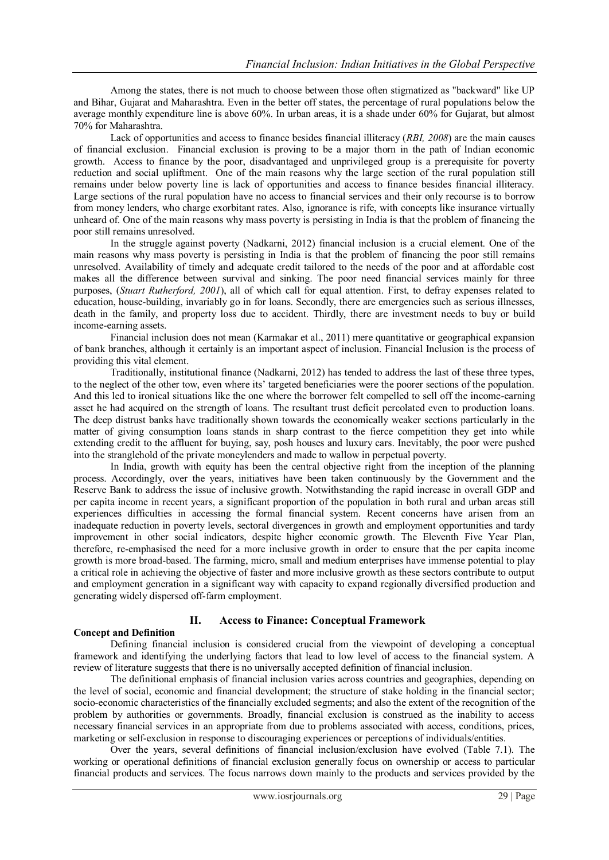Among the states, there is not much to choose between those often stigmatized as "backward" like UP and Bihar, Gujarat and Maharashtra. Even in the better off states, the percentage of rural populations below the average monthly expenditure line is above 60%. In urban areas, it is a shade under 60% for Gujarat, but almost 70% for Maharashtra.

Lack of opportunities and access to finance besides financial illiteracy (*RBI, 2008*) are the main causes of financial exclusion. Financial exclusion is proving to be a major thorn in the path of Indian economic growth. Access to finance by the poor, disadvantaged and unprivileged group is a prerequisite for poverty reduction and social upliftment. One of the main reasons why the large section of the rural population still remains under below poverty line is lack of opportunities and access to finance besides financial illiteracy. Large sections of the rural population have no access to financial services and their only recourse is to borrow from money lenders, who charge exorbitant rates. Also, ignorance is rife, with concepts like insurance virtually unheard of. One of the main reasons why mass poverty is persisting in India is that the problem of financing the poor still remains unresolved.

In the struggle against poverty (Nadkarni, 2012) financial inclusion is a crucial element. One of the main reasons why mass poverty is persisting in India is that the problem of financing the poor still remains unresolved. Availability of timely and adequate credit tailored to the needs of the poor and at affordable cost makes all the difference between survival and sinking. The poor need financial services mainly for three purposes, (*Stuart Rutherford, 2001*), all of which call for equal attention. First, to defray expenses related to education, house-building, invariably go in for loans. Secondly, there are emergencies such as serious illnesses, death in the family, and property loss due to accident. Thirdly, there are investment needs to buy or build income-earning assets.

Financial inclusion does not mean (Karmakar et al., 2011) mere quantitative or geographical expansion of bank branches, although it certainly is an important aspect of inclusion. Financial Inclusion is the process of providing this vital element.

Traditionally, institutional finance (Nadkarni, 2012) has tended to address the last of these three types, to the neglect of the other tow, even where its" targeted beneficiaries were the poorer sections of the population. And this led to ironical situations like the one where the borrower felt compelled to sell off the income-earning asset he had acquired on the strength of loans. The resultant trust deficit percolated even to production loans. The deep distrust banks have traditionally shown towards the economically weaker sections particularly in the matter of giving consumption loans stands in sharp contrast to the fierce competition they get into while extending credit to the affluent for buying, say, posh houses and luxury cars. Inevitably, the poor were pushed into the stranglehold of the private moneylenders and made to wallow in perpetual poverty.

In India, growth with equity has been the central objective right from the inception of the planning process. Accordingly, over the years, initiatives have been taken continuously by the Government and the Reserve Bank to address the issue of inclusive growth. Notwithstanding the rapid increase in overall GDP and per capita income in recent years, a significant proportion of the population in both rural and urban areas still experiences difficulties in accessing the formal financial system. Recent concerns have arisen from an inadequate reduction in poverty levels, sectoral divergences in growth and employment opportunities and tardy improvement in other social indicators, despite higher economic growth. The Eleventh Five Year Plan, therefore, re-emphasised the need for a more inclusive growth in order to ensure that the per capita income growth is more broad-based. The farming, micro, small and medium enterprises have immense potential to play a critical role in achieving the objective of faster and more inclusive growth as these sectors contribute to output and employment generation in a significant way with capacity to expand regionally diversified production and generating widely dispersed off-farm employment.

## **II. Access to Finance: Conceptual Framework**

#### **Concept and Definition**

Defining financial inclusion is considered crucial from the viewpoint of developing a conceptual framework and identifying the underlying factors that lead to low level of access to the financial system. A review of literature suggests that there is no universally accepted definition of financial inclusion.

The definitional emphasis of financial inclusion varies across countries and geographies, depending on the level of social, economic and financial development; the structure of stake holding in the financial sector; socio-economic characteristics of the financially excluded segments; and also the extent of the recognition of the problem by authorities or governments. Broadly, financial exclusion is construed as the inability to access necessary financial services in an appropriate from due to problems associated with access, conditions, prices, marketing or self-exclusion in response to discouraging experiences or perceptions of individuals/entities.

Over the years, several definitions of financial inclusion/exclusion have evolved (Table 7.1). The working or operational definitions of financial exclusion generally focus on ownership or access to particular financial products and services. The focus narrows down mainly to the products and services provided by the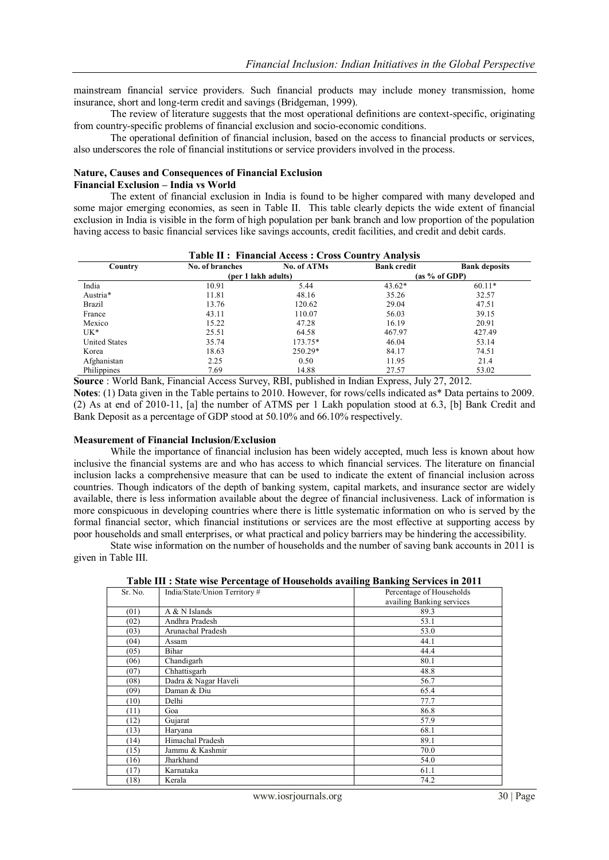mainstream financial service providers. Such financial products may include money transmission, home insurance, short and long-term credit and savings (Bridgeman, 1999).

The review of literature suggests that the most operational definitions are context-specific, originating from country-specific problems of financial exclusion and socio-economic conditions.

The operational definition of financial inclusion, based on the access to financial products or services, also underscores the role of financial institutions or service providers involved in the process.

#### **Nature, Causes and Consequences of Financial Exclusion**

**Financial Exclusion – India vs World** 

The extent of financial exclusion in India is found to be higher compared with many developed and some major emerging economies, as seen in Table II. This table clearly depicts the wide extent of financial exclusion in India is visible in the form of high population per bank branch and low proportion of the population having access to basic financial services like savings accounts, credit facilities, and credit and debit cards.

**Table II : Financial Access : Cross Country Analysis**

|                      |                     | таріс іт у типансіаі жесезу . Стозу Соціні у жиатуму |                    |                      |
|----------------------|---------------------|------------------------------------------------------|--------------------|----------------------|
| Country              | No. of branches     | No. of ATMs                                          | <b>Bank credit</b> | <b>Bank deposits</b> |
|                      | (per 1 lakh adults) |                                                      |                    | (as % of GDP)        |
| India                | 10.91               | 5.44                                                 | $43.62*$           | $60.11*$             |
| Austria*             | 11.81               | 48.16                                                | 35.26              | 32.57                |
| Brazil               | 13.76               | 120.62                                               | 29.04              | 47.51                |
| France               | 43.11               | 110.07                                               | 56.03              | 39.15                |
| Mexico               | 15.22               | 47.28                                                | 16.19              | 20.91                |
| UK*                  | 25.51               | 64.58                                                | 467.97             | 427.49               |
| <b>United States</b> | 35.74               | 173.75*                                              | 46.04              | 53.14                |
| Korea                | 18.63               | 250.29*                                              | 84.17              | 74.51                |
| Afghanistan          | 2.25                | 0.50                                                 | 11.95              | 21.4                 |
| Philippines          | 7.69                | 14.88                                                | 27.57              | 53.02                |

**Source** : World Bank, Financial Access Survey, RBI, published in Indian Express, July 27, 2012. **Notes**: (1) Data given in the Table pertains to 2010. However, for rows/cells indicated as\* Data pertains to 2009. (2) As at end of 2010-11, [a] the number of ATMS per 1 Lakh population stood at 6.3, [b] Bank Credit and Bank Deposit as a percentage of GDP stood at 50.10% and 66.10% respectively.

#### **Measurement of Financial Inclusion/Exclusion**

While the importance of financial inclusion has been widely accepted, much less is known about how inclusive the financial systems are and who has access to which financial services. The literature on financial inclusion lacks a comprehensive measure that can be used to indicate the extent of financial inclusion across countries. Though indicators of the depth of banking system, capital markets, and insurance sector are widely available, there is less information available about the degree of financial inclusiveness. Lack of information is more conspicuous in developing countries where there is little systematic information on who is served by the formal financial sector, which financial institutions or services are the most effective at supporting access by poor households and small enterprises, or what practical and policy barriers may be hindering the accessibility.

State wise information on the number of households and the number of saving bank accounts in 2011 is given in Table III.

|         | Table III . State wise I electriage of Households availing Daliking Sel vices in 2011 |                                                       |
|---------|---------------------------------------------------------------------------------------|-------------------------------------------------------|
| Sr. No. | India/State/Union Territory#                                                          | Percentage of Households<br>availing Banking services |
| (01)    | A & N Islands                                                                         | 89.3                                                  |
| (02)    | Andhra Pradesh                                                                        | 53.1                                                  |
| (03)    | Arunachal Pradesh                                                                     | 53.0                                                  |
| (04)    | Assam                                                                                 | 44.1                                                  |
| (05)    | Bihar                                                                                 | 44.4                                                  |
| (06)    | Chandigarh                                                                            | 80.1                                                  |
| (07)    | Chhattisgarh                                                                          | 48.8                                                  |
| (08)    | Dadra & Nagar Haveli                                                                  | 56.7                                                  |
| (09)    | Daman & Diu                                                                           | 65.4                                                  |
| (10)    | Delhi                                                                                 | 77.7                                                  |
| (11)    | Goa                                                                                   | 86.8                                                  |
| (12)    | Gujarat                                                                               | 57.9                                                  |
| (13)    | Harvana                                                                               | 68.1                                                  |
| (14)    | Himachal Pradesh                                                                      | 89.1                                                  |
| (15)    | Jammu & Kashmir                                                                       | 70.0                                                  |
| (16)    | Jharkhand                                                                             | 54.0                                                  |
| (17)    | Karnataka                                                                             | 61.1                                                  |
| (18)    | Kerala                                                                                | 74.2                                                  |

**Table III : State wise Percentage of Households availing Banking Services in 2011**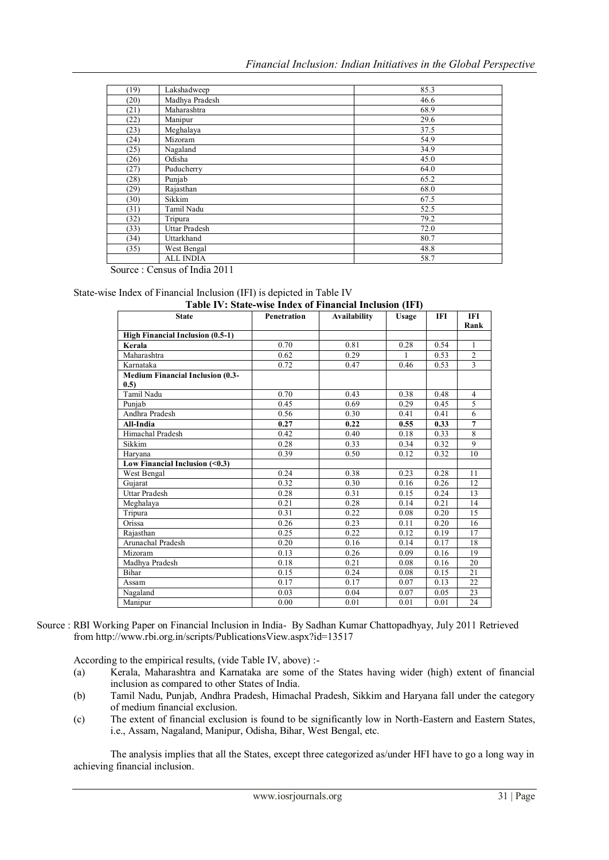| (19) | Lakshadweep          | 85.3 |
|------|----------------------|------|
| (20) | Madhya Pradesh       | 46.6 |
| (21) | Maharashtra          | 68.9 |
| (22) | Manipur              | 29.6 |
| (23) | Meghalaya            | 37.5 |
| (24) | Mizoram              | 54.9 |
| (25) | Nagaland             | 34.9 |
| (26) | Odisha               | 45.0 |
| (27) | Puducherry           | 64.0 |
| (28) | Punjab               | 65.2 |
| (29) | Rajasthan            | 68.0 |
| (30) | Sikkim               | 67.5 |
| (31) | Tamil Nadu           | 52.5 |
| (32) | Tripura              | 79.2 |
| (33) | <b>Uttar Pradesh</b> | 72.0 |
| (34) | Uttarkhand           | 80.7 |
| (35) | West Bengal          | 48.8 |
|      | <b>ALL INDIA</b>     | 58.7 |

Source : Census of India 2011

## State-wise

| Table IV: State-wise Index of Financial Inclusion (IFI) |             |                     |              |            |                     |
|---------------------------------------------------------|-------------|---------------------|--------------|------------|---------------------|
| <b>State</b>                                            | Penetration | <b>Availability</b> | <b>Usage</b> | <b>IFI</b> | <b>IFI</b>          |
|                                                         |             |                     |              |            | Rank                |
| High Financial Inclusion (0.5-1)                        | 0.70        | 0.81                | 0.28         | 0.54       |                     |
| Kerala<br>Maharashtra                                   | 0.62        | 0.29                | 1            | 0.53       | 1<br>$\mathfrak{2}$ |
|                                                         |             |                     |              |            | 3                   |
| Karnataka                                               | 0.72        | 0.47                | 0.46         | 0.53       |                     |
| <b>Medium Financial Inclusion (0.3-</b><br>0.5)         |             |                     |              |            |                     |
| Tamil Nadu                                              | 0.70        | 0.43                | 0.38         | 0.48       | $\overline{4}$      |
| Punjab                                                  | 0.45        | 0.69                | 0.29         | 0.45       | 5                   |
| Andhra Pradesh                                          | 0.56        | 0.30                | 0.41         | 0.41       | $\overline{6}$      |
| All-India                                               | 0.27        | 0.22                | 0.55         | 0.33       | $\overline{7}$      |
| Himachal Pradesh                                        | 0.42        | 0.40                | 0.18         | 0.33       | 8                   |
| Sikkim                                                  | 0.28        | 0.33                | 0.34         | 0.32       | 9                   |
| Harvana                                                 | 0.39        | 0.50                | 0.12         | 0.32       | 10                  |
| Low Financial Inclusion $($ $0.3$ )                     |             |                     |              |            |                     |
| West Bengal                                             | 0.24        | 0.38                | 0.23         | 0.28       | 11                  |
| Gujarat                                                 | 0.32        | 0.30                | 0.16         | 0.26       | 12                  |
| <b>Uttar Pradesh</b>                                    | 0.28        | 0.31                | 0.15         | 0.24       | 13                  |
| Meghalaya                                               | 0.21        | 0.28                | 0.14         | 0.21       | 14                  |
| Tripura                                                 | 0.31        | 0.22                | 0.08         | 0.20       | 15                  |
| Orissa                                                  | 0.26        | 0.23                | 0.11         | 0.20       | 16                  |
| Rajasthan                                               | 0.25        | 0.22                | 0.12         | 0.19       | 17                  |
| Arunachal Pradesh                                       | 0.20        | 0.16                | 0.14         | 0.17       | 18                  |
| Mizoram                                                 | 0.13        | 0.26                | 0.09         | 0.16       | 19                  |
| Madhya Pradesh                                          | 0.18        | 0.21                | 0.08         | 0.16       | 20                  |
| Bihar                                                   | 0.15        | 0.24                | 0.08         | 0.15       | 21                  |
| Assam                                                   | 0.17        | 0.17                | 0.07         | 0.13       | 22                  |
| Nagaland                                                | 0.03        | 0.04                | 0.07         | 0.05       | 23                  |
| Manipur                                                 | 0.00        | 0.01                | 0.01         | 0.01       | 24                  |

Source : RBI Working Paper on Financial Inclusion in India- By Sadhan Kumar Chattopadhyay, July 2011 Retrieved from http://www.rbi.org.in/scripts/PublicationsView.aspx?id=13517

According to the empirical results, (vide Table IV, above) :-

- (a) Kerala, Maharashtra and Karnataka are some of the States having wider (high) extent of financial inclusion as compared to other States of India.
- (b) Tamil Nadu, Punjab, Andhra Pradesh, Himachal Pradesh, Sikkim and Haryana fall under the category of medium financial exclusion.
- (c) The extent of financial exclusion is found to be significantly low in North-Eastern and Eastern States, i.e., Assam, Nagaland, Manipur, Odisha, Bihar, West Bengal, etc.

The analysis implies that all the States, except three categorized as/under HFI have to go a long way in achieving financial inclusion.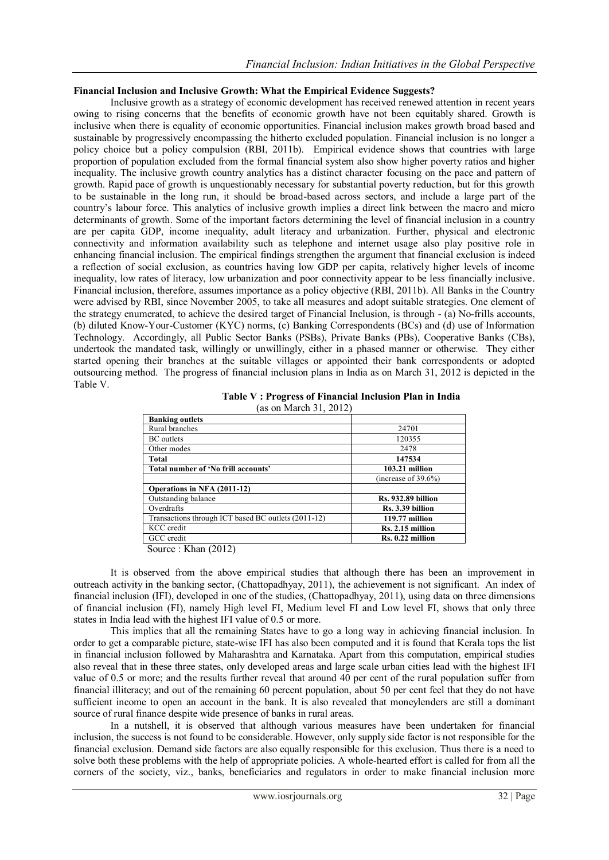#### **Financial Inclusion and Inclusive Growth: What the Empirical Evidence Suggests?**

Inclusive growth as a strategy of economic development has received renewed attention in recent years owing to rising concerns that the benefits of economic growth have not been equitably shared. Growth is inclusive when there is equality of economic opportunities. Financial inclusion makes growth broad based and sustainable by progressively encompassing the hitherto excluded population. Financial inclusion is no longer a policy choice but a policy compulsion (RBI, 2011b). Empirical evidence shows that countries with large proportion of population excluded from the formal financial system also show higher poverty ratios and higher inequality. The inclusive growth country analytics has a distinct character focusing on the pace and pattern of growth. Rapid pace of growth is unquestionably necessary for substantial poverty reduction, but for this growth to be sustainable in the long run, it should be broad-based across sectors, and include a large part of the country"s labour force. This analytics of inclusive growth implies a direct link between the macro and micro determinants of growth. Some of the important factors determining the level of financial inclusion in a country are per capita GDP, income inequality, adult literacy and urbanization. Further, physical and electronic connectivity and information availability such as telephone and internet usage also play positive role in enhancing financial inclusion. The empirical findings strengthen the argument that financial exclusion is indeed a reflection of social exclusion, as countries having low GDP per capita, relatively higher levels of income inequality, low rates of literacy, low urbanization and poor connectivity appear to be less financially inclusive. Financial inclusion, therefore, assumes importance as a policy objective (RBI, 2011b). All Banks in the Country were advised by RBI, since November 2005, to take all measures and adopt suitable strategies. One element of the strategy enumerated, to achieve the desired target of Financial Inclusion, is through - (a) No-frills accounts, (b) diluted Know-Your-Customer (KYC) norms, (c) Banking Correspondents (BCs) and (d) use of Information Technology. Accordingly, all Public Sector Banks (PSBs), Private Banks (PBs), Cooperative Banks (CBs), undertook the mandated task, willingly or unwillingly, either in a phased manner or otherwise. They either started opening their branches at the suitable villages or appointed their bank correspondents or adopted outsourcing method. The progress of financial inclusion plans in India as on March 31, 2012 is depicted in the Table V.

| <b>Banking outlets</b>                              |                           |
|-----------------------------------------------------|---------------------------|
| Rural branches                                      | 24701                     |
| <b>BC</b> outlets                                   | 120355                    |
| Other modes                                         | 2478                      |
| Total                                               | 147534                    |
| Total number of 'No frill accounts'                 | 103.21 million            |
|                                                     | (increase of $39.6\%$ )   |
| Operations in NFA (2011-12)                         |                           |
| Outstanding balance                                 | <b>Rs. 932.89 billion</b> |
| Overdrafts                                          | Rs. 3.39 billion          |
| Transactions through ICT based BC outlets (2011-12) | 119.77 million            |
| KCC credit                                          | Rs. 2.15 million          |
| GCC credit                                          | Rs. 0.22 million          |
| $\alpha$ $\tau \tau$ 1<br>(0.018)                   |                           |

| Table V: Progress of Financial Inclusion Plan in India |  |
|--------------------------------------------------------|--|
| (as on March 31, 2012)                                 |  |

Source : Khan (2012)

It is observed from the above empirical studies that although there has been an improvement in outreach activity in the banking sector, (Chattopadhyay, 2011), the achievement is not significant. An index of financial inclusion (IFI), developed in one of the studies, (Chattopadhyay, 2011), using data on three dimensions of financial inclusion (FI), namely High level FI, Medium level FI and Low level FI, shows that only three states in India lead with the highest IFI value of 0.5 or more.

This implies that all the remaining States have to go a long way in achieving financial inclusion. In order to get a comparable picture, state-wise IFI has also been computed and it is found that Kerala tops the list in financial inclusion followed by Maharashtra and Karnataka. Apart from this computation, empirical studies also reveal that in these three states, only developed areas and large scale urban cities lead with the highest IFI value of 0.5 or more; and the results further reveal that around 40 per cent of the rural population suffer from financial illiteracy; and out of the remaining 60 percent population, about 50 per cent feel that they do not have sufficient income to open an account in the bank. It is also revealed that moneylenders are still a dominant source of rural finance despite wide presence of banks in rural areas.

In a nutshell, it is observed that although various measures have been undertaken for financial inclusion, the success is not found to be considerable. However, only supply side factor is not responsible for the financial exclusion. Demand side factors are also equally responsible for this exclusion. Thus there is a need to solve both these problems with the help of appropriate policies. A whole-hearted effort is called for from all the corners of the society, viz., banks, beneficiaries and regulators in order to make financial inclusion more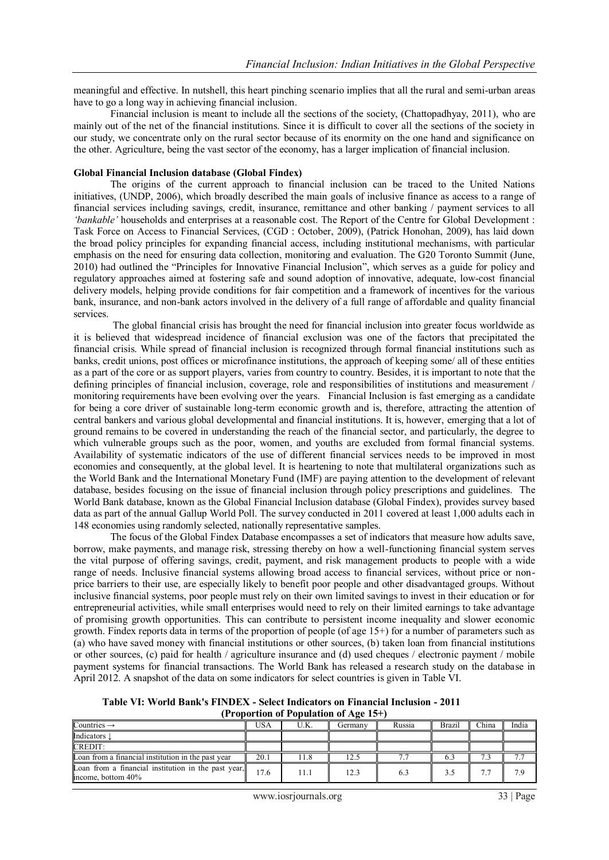meaningful and effective. In nutshell, this heart pinching scenario implies that all the rural and semi-urban areas have to go a long way in achieving financial inclusion.

Financial inclusion is meant to include all the sections of the society, (Chattopadhyay, 2011), who are mainly out of the net of the financial institutions. Since it is difficult to cover all the sections of the society in our study, we concentrate only on the rural sector because of its enormity on the one hand and significance on the other. Agriculture, being the vast sector of the economy, has a larger implication of financial inclusion.

#### **Global Financial Inclusion database (Global Findex)**

The origins of the current approach to financial inclusion can be traced to the United Nations initiatives, (UNDP, 2006), which broadly described the main goals of inclusive finance as access to a range of financial services including savings, credit, insurance, remittance and other banking / payment services to all *'bankable'* households and enterprises at a reasonable cost. The Report of the Centre for Global Development : Task Force on Access to Financial Services, (CGD : October, 2009), (Patrick Honohan, 2009), has laid down the broad policy principles for expanding financial access, including institutional mechanisms, with particular emphasis on the need for ensuring data collection, monitoring and evaluation. The G20 Toronto Summit (June, 2010) had outlined the "Principles for Innovative Financial Inclusion", which serves as a guide for policy and regulatory approaches aimed at fostering safe and sound adoption of innovative, adequate, low-cost financial delivery models, helping provide conditions for fair competition and a framework of incentives for the various bank, insurance, and non-bank actors involved in the delivery of a full range of affordable and quality financial services.

The global financial crisis has brought the need for financial inclusion into greater focus worldwide as it is believed that widespread incidence of financial exclusion was one of the factors that precipitated the financial crisis. While spread of financial inclusion is recognized through formal financial institutions such as banks, credit unions, post offices or microfinance institutions, the approach of keeping some/ all of these entities as a part of the core or as support players, varies from country to country. Besides, it is important to note that the defining principles of financial inclusion, coverage, role and responsibilities of institutions and measurement / monitoring requirements have been evolving over the years. Financial Inclusion is fast emerging as a candidate for being a core driver of sustainable long-term economic growth and is, therefore, attracting the attention of central bankers and various global developmental and financial institutions. It is, however, emerging that a lot of ground remains to be covered in understanding the reach of the financial sector, and particularly, the degree to which vulnerable groups such as the poor, women, and youths are excluded from formal financial systems. Availability of systematic indicators of the use of different financial services needs to be improved in most economies and consequently, at the global level. It is heartening to note that multilateral organizations such as the World Bank and the International Monetary Fund (IMF) are paying attention to the development of relevant database, besides focusing on the issue of financial inclusion through policy prescriptions and guidelines. The World Bank database, known as the Global Financial Inclusion database (Global Findex), provides survey based data as part of the annual Gallup World Poll. The survey conducted in 2011 covered at least 1,000 adults each in 148 economies using randomly selected, nationally representative samples.

The focus of the Global Findex Database encompasses a set of indicators that measure how adults save, borrow, make payments, and manage risk, stressing thereby on how a well-functioning financial system serves the vital purpose of offering savings, credit, payment, and risk management products to people with a wide range of needs. Inclusive financial systems allowing broad access to financial services, without price or nonprice barriers to their use, are especially likely to benefit poor people and other disadvantaged groups. Without inclusive financial systems, poor people must rely on their own limited savings to invest in their education or for entrepreneurial activities, while small enterprises would need to rely on their limited earnings to take advantage of promising growth opportunities. This can contribute to persistent income inequality and slower economic growth. Findex reports data in terms of the proportion of people (of age 15+) for a number of parameters such as (a) who have saved money with financial institutions or other sources, (b) taken loan from financial institutions or other sources, (c) paid for health / agriculture insurance and (d) used cheques / electronic payment / mobile payment systems for financial transactions. The World Bank has released a research study on the database in April 2012. A snapshot of the data on some indicators for select countries is given in Table VI.

**Table VI: World Bank's FINDEX - Select Indicators on Financial Inclusion - 2011 (Proportion of Population of Age 15+)** 

| Countries $\rightarrow$                                                   | USA  | U.K. | Germany | Russia | Brazil | China | India |
|---------------------------------------------------------------------------|------|------|---------|--------|--------|-------|-------|
| Indicators                                                                |      |      |         |        |        |       |       |
| CREDIT:                                                                   |      |      |         |        |        |       |       |
| Loan from a financial institution in the past year                        | 20.1 | !1.8 | 12.5    |        |        |       |       |
| Loan from a financial institution in the past year,<br>income, bottom 40% | 17.6 | 11.1 | 12.3    | 6.3    |        | 7 F   | 7 Q   |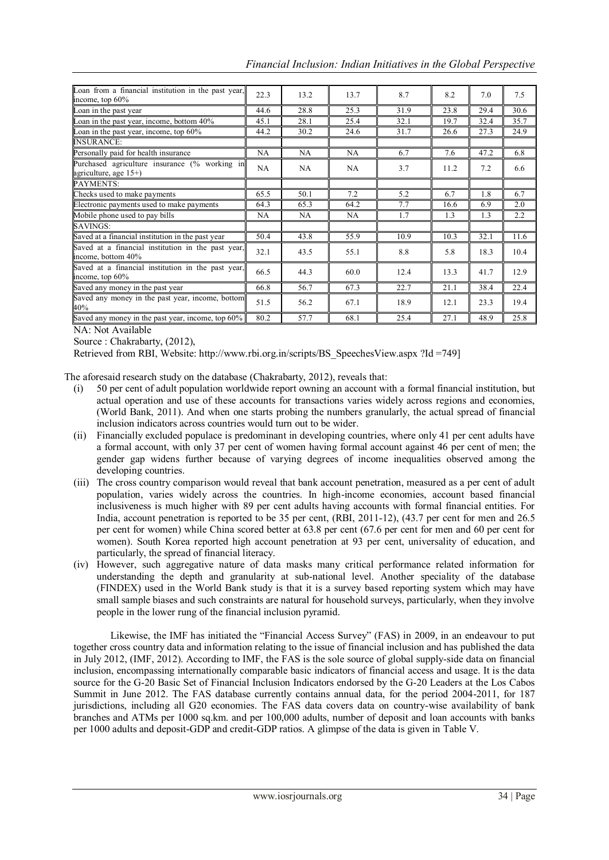| Loan from a financial institution in the past year,<br>income, top 60%    | 22.3 | 13.2 | 13.7 | 8.7  | 8.2  | 7.0  | 7.5  |
|---------------------------------------------------------------------------|------|------|------|------|------|------|------|
| Loan in the past year                                                     | 44.6 | 28.8 | 25.3 | 31.9 | 23.8 | 29.4 | 30.6 |
| Loan in the past year, income, bottom 40%                                 | 45.1 | 28.1 | 25.4 | 32.1 | 19.7 | 32.4 | 35.7 |
| Loan in the past year, income, top 60%                                    | 44.2 | 30.2 | 24.6 | 31.7 | 26.6 | 27.3 | 24.9 |
| <b>INSURANCE:</b>                                                         |      |      |      |      |      |      |      |
| Personally paid for health insurance                                      | NA   | NA   | NA   | 6.7  | 7.6  | 47.2 | 6.8  |
| Purchased agriculture insurance (% working in<br>agriculture, age $15+$ ) | NA   | NA.  | NA.  | 3.7  | 11.2 | 7.2  | 6.6  |
| PAYMENTS:                                                                 |      |      |      |      |      |      |      |
| Checks used to make payments                                              | 65.5 | 50.1 | 7.2  | 5.2  | 6.7  | 1.8  | 6.7  |
| Electronic payments used to make payments                                 | 64.3 | 65.3 | 64.2 | 7.7  | 16.6 | 6.9  | 2.0  |
| Mobile phone used to pay bills                                            | NA   | NA   | NA   | 1.7  | 1.3  | 1.3  | 2.2  |
| SAVINGS:                                                                  |      |      |      |      |      |      |      |
| Saved at a financial institution in the past year                         | 50.4 | 43.8 | 55.9 | 10.9 | 10.3 | 32.1 | 11.6 |
| Saved at a financial institution in the past year,<br>income, bottom 40%  | 32.1 | 43.5 | 55.1 | 8.8  | 5.8  | 18.3 | 10.4 |
| Saved at a financial institution in the past year,<br>income, top 60%     | 66.5 | 44.3 | 60.0 | 12.4 | 13.3 | 41.7 | 12.9 |
| Saved any money in the past year                                          | 66.8 | 56.7 | 67.3 | 22.7 | 21.1 | 38.4 | 22.4 |
| Saved any money in the past year, income, bottom<br>40%                   | 51.5 | 56.2 | 67.1 | 18.9 | 12.1 | 23.3 | 19.4 |
| Saved any money in the past year, income, top 60%                         | 80.2 | 57.7 | 68.1 | 25.4 | 27.1 | 48.9 | 25.8 |

*Financial Inclusion: Indian Initiatives in the Global Perspective*

NA: Not Available

Source : Chakrabarty, (2012),

Retrieved from RBI, Website: http://www.rbi.org.in/scripts/BS\_SpeechesView.aspx ?Id =749]

The aforesaid research study on the database (Chakrabarty, 2012), reveals that:

- (i) 50 per cent of adult population worldwide report owning an account with a formal financial institution, but actual operation and use of these accounts for transactions varies widely across regions and economies, (World Bank, 2011). And when one starts probing the numbers granularly, the actual spread of financial inclusion indicators across countries would turn out to be wider.
- (ii) Financially excluded populace is predominant in developing countries, where only 41 per cent adults have a formal account, with only 37 per cent of women having formal account against 46 per cent of men; the gender gap widens further because of varying degrees of income inequalities observed among the developing countries.
- (iii) The cross country comparison would reveal that bank account penetration, measured as a per cent of adult population, varies widely across the countries. In high-income economies, account based financial inclusiveness is much higher with 89 per cent adults having accounts with formal financial entities. For India, account penetration is reported to be 35 per cent, (RBI, 2011-12), (43.7 per cent for men and 26.5 per cent for women) while China scored better at 63.8 per cent (67.6 per cent for men and 60 per cent for women). South Korea reported high account penetration at 93 per cent, universality of education, and particularly, the spread of financial literacy.
- (iv) However, such aggregative nature of data masks many critical performance related information for understanding the depth and granularity at sub-national level. Another speciality of the database (FINDEX) used in the World Bank study is that it is a survey based reporting system which may have small sample biases and such constraints are natural for household surveys, particularly, when they involve people in the lower rung of the financial inclusion pyramid.

Likewise, the IMF has initiated the "Financial Access Survey" (FAS) in 2009, in an endeavour to put together cross country data and information relating to the issue of financial inclusion and has published the data in July 2012, (IMF, 2012). According to IMF, the FAS is the sole source of global supply-side data on financial inclusion, encompassing internationally comparable basic indicators of financial access and usage. It is the data source for the G-20 Basic Set of Financial Inclusion Indicators endorsed by the G-20 Leaders at the Los Cabos Summit in June 2012. The FAS database currently contains annual data, for the period 2004-2011, for 187 jurisdictions, including all G20 economies. The FAS data covers data on country-wise availability of bank branches and ATMs per 1000 sq.km. and per 100,000 adults, number of deposit and loan accounts with banks per 1000 adults and deposit-GDP and credit-GDP ratios. A glimpse of the data is given in Table V.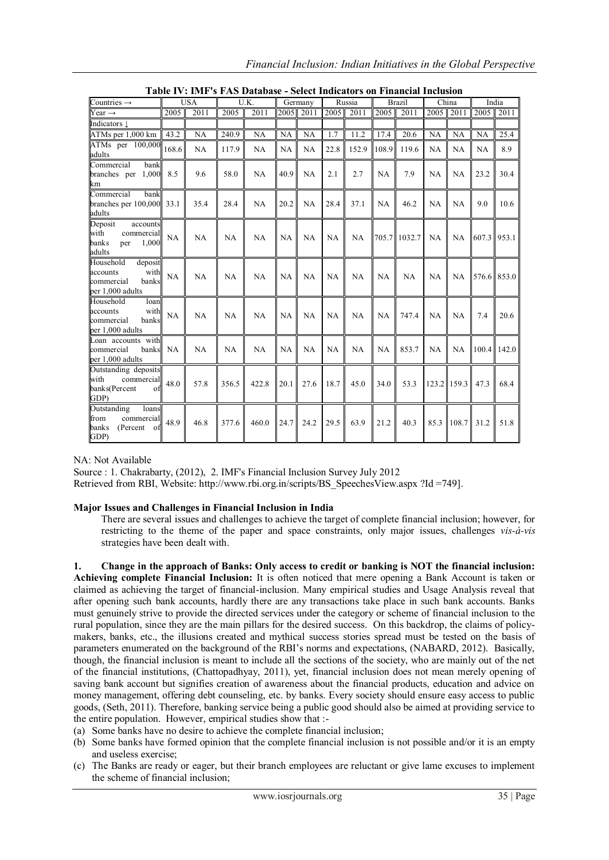|                                                                                     |       | Table IV: IMF's FAS Database - Select Indicators on |       |           |           |           |           |        |           | <b>Financial Inclusion</b> |           |           |                |             |
|-------------------------------------------------------------------------------------|-------|-----------------------------------------------------|-------|-----------|-----------|-----------|-----------|--------|-----------|----------------------------|-----------|-----------|----------------|-------------|
| Countries $\rightarrow$                                                             |       | <b>USA</b>                                          |       | U.K.      |           | Germany   |           | Russia |           | Brazil                     |           | China     |                | India       |
| Year $\rightarrow$                                                                  | 2005  | 2011                                                | 2005  | 2011      | 2005      | 2011      | 2005      | 2011   | 2005      | 2011                       | 2005      | 2011      | 2005           | 2011        |
| Indicators $\downarrow$                                                             |       |                                                     |       |           |           |           |           |        |           |                            |           |           |                |             |
| ATMs per 1,000 km                                                                   | 43.2  | <b>NA</b>                                           | 240.9 | <b>NA</b> | NA        | NA        | 1.7       | 11.2   | 17.4      | 20.6                       | NA        | NA        | NA             | 25.4        |
| ATMs per 100,000<br>adults                                                          | 168.6 | NA                                                  | 117.9 | NA        | NA        | NA        | 22.8      | 152.9  | 108.9     | 119.6                      | <b>NA</b> | <b>NA</b> | <b>NA</b>      | 8.9         |
| Commercial<br>bank<br>1,000<br>branches per<br>km                                   | 8.5   | 9.6                                                 | 58.0  | NA        | 40.9      | <b>NA</b> | 2.1       | 2.7    | NA        | 7.9                        | <b>NA</b> | <b>NA</b> | 23.2           | 30.4        |
| Commercial<br>bank<br>branches per 100,000 33.1<br>adults                           |       | 35.4                                                | 28.4  | <b>NA</b> | 20.2      | NA        | 28.4      | 37.1   | NA        | 46.2                       | <b>NA</b> | <b>NA</b> | 9.0            | 10.6        |
| Deposit<br>accounts<br>with<br>commercial<br>1.000<br>banks<br>per<br>adults        | NA    | NA                                                  | NA    | NA        | <b>NA</b> | NA        | NA        | NA     | 705.7     | 1032.7                     | <b>NA</b> | NA.       | $607.3$ 953.1  |             |
| Household<br>deposit<br>with<br>accounts<br>banks<br>commercial<br>per 1,000 adults | NA    | NA                                                  | NA    | NA        | NA        | NA        | NA        | NA     | <b>NA</b> | NA                         | <b>NA</b> | NA.       |                | 576.6 853.0 |
| Household<br>loan<br>with<br>accounts<br>banks<br>commercial<br>per 1,000 adults    | NA    | NA                                                  | NA    | NA        | <b>NA</b> | NA        | <b>NA</b> | NA     | NA        | 747.4                      | <b>NA</b> | NA        | 7.4            | 20.6        |
| Loan accounts with<br>commercial<br>banks                                           | NA    | <b>NA</b>                                           | NA    | NA        | NA.       | <b>NA</b> | NA        | NA     | NA        | 853.7                      | NA        |           | NA 100.4 142.0 |             |

**Table IV: IMF's FAS Database - Select Indicators on Financial Inclusion**

NA: Not Available

per 1,000 adults

Outstanding deposits with commercia banks(Percent of

Outstanding loan from commercial banks (Percent of

GDP)

GDP)

Source : 1. Chakrabarty, (2012), 2. IMF's Financial Inclusion Survey July 2012 Retrieved from RBI, Website: http://www.rbi.org.in/scripts/BS\_SpeechesView.aspx ?Id =749].

## **Major Issues and Challenges in Financial Inclusion in India**

There are several issues and challenges to achieve the target of complete financial inclusion; however, for restricting to the theme of the paper and space constraints, only major issues, challenges *vis-à-vis* strategies have been dealt with.

48.0  $\parallel$  57.8  $\parallel$  356.5  $\parallel$  422.8  $\parallel$  20.1  $\parallel$  27.6  $\parallel$  18.7  $\parallel$  45.0  $\parallel$  34.0  $\parallel$  53.3  $\parallel$  123.2  $\parallel$  159.3  $\parallel$  47.3  $\parallel$  68.4

48.9 46.8 377.6 460.0 24.7 24.2 29.5 63.9 21.2 40.3 85.3 108.7 31.2 51.8

**1. Change in the approach of Banks: Only access to credit or banking is NOT the financial inclusion: Achieving complete Financial Inclusion:** It is often noticed that mere opening a Bank Account is taken or claimed as achieving the target of financial-inclusion. Many empirical studies and Usage Analysis reveal that after opening such bank accounts, hardly there are any transactions take place in such bank accounts. Banks must genuinely strive to provide the directed services under the category or scheme of financial inclusion to the rural population, since they are the main pillars for the desired success. On this backdrop, the claims of policymakers, banks, etc., the illusions created and mythical success stories spread must be tested on the basis of parameters enumerated on the background of the RBI"s norms and expectations, (NABARD, 2012). Basically, though, the financial inclusion is meant to include all the sections of the society, who are mainly out of the net of the financial institutions, (Chattopadhyay, 2011), yet, financial inclusion does not mean merely opening of saving bank account but signifies creation of awareness about the financial products, education and advice on money management, offering debt counseling, etc. by banks. Every society should ensure easy access to public goods, (Seth, 2011). Therefore, banking service being a public good should also be aimed at providing service to the entire population. However, empirical studies show that :-

(a) Some banks have no desire to achieve the complete financial inclusion;

- (b) Some banks have formed opinion that the complete financial inclusion is not possible and/or it is an empty and useless exercise;
- (c) The Banks are ready or eager, but their branch employees are reluctant or give lame excuses to implement the scheme of financial inclusion;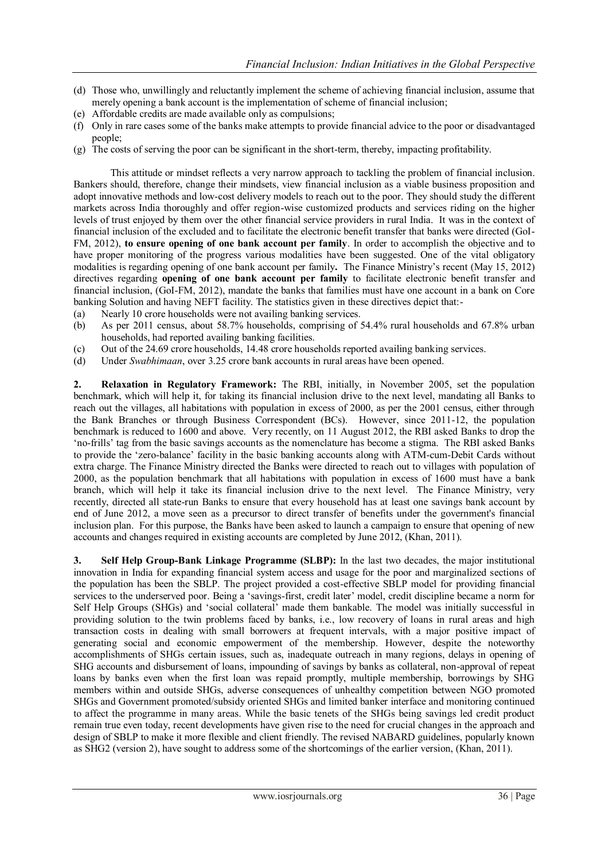- (d) Those who, unwillingly and reluctantly implement the scheme of achieving financial inclusion, assume that merely opening a bank account is the implementation of scheme of financial inclusion;
- (e) Affordable credits are made available only as compulsions;
- (f) Only in rare cases some of the banks make attempts to provide financial advice to the poor or disadvantaged people;
- (g) The costs of serving the poor can be significant in the short-term, thereby, impacting profitability.

This attitude or mindset reflects a very narrow approach to tackling the problem of financial inclusion. Bankers should, therefore, change their mindsets, view financial inclusion as a viable business proposition and adopt innovative methods and low-cost delivery models to reach out to the poor. They should study the different markets across India thoroughly and offer region-wise customized products and services riding on the higher levels of trust enjoyed by them over the other financial service providers in rural India. It was in the context of financial inclusion of the excluded and to facilitate the electronic benefit transfer that banks were directed (GoI-FM, 2012), **to ensure opening of one bank account per family**. In order to accomplish the objective and to have proper monitoring of the progress various modalities have been suggested. One of the vital obligatory modalities is regarding opening of one bank account per family**.** The Finance Ministry"s recent (May 15, 2012) directives regarding **opening of one bank account per family** to facilitate electronic benefit transfer and financial inclusion, (GoI-FM, 2012), mandate the banks that families must have one account in a bank on Core banking Solution and having NEFT facility. The statistics given in these directives depict that:-

- (a) Nearly 10 crore households were not availing banking services.
- (b) As per 2011 census, about 58.7% households, comprising of 54.4% rural households and 67.8% urban households, had reported availing banking facilities.
- (c) Out of the 24.69 crore households, 14.48 crore households reported availing banking services.
- (d) Under *Swabhimaan*, over 3.25 crore bank accounts in rural areas have been opened.

**2. Relaxation in Regulatory Framework:** The RBI, initially, in November 2005, set the population benchmark, which will help it, for taking its financial inclusion drive to the next level, mandating all Banks to reach out the villages, all habitations with population in excess of 2000, as per the 2001 census, either through the Bank Branches or through Business Correspondent (BCs). However, since 2011-12, the population benchmark is reduced to 1600 and above. Very recently, on 11 August 2012, the RBI asked Banks to drop the "no-frills" tag from the basic savings accounts as the nomenclature has become a stigma. The RBI asked Banks to provide the "zero-balance" facility in the basic banking accounts along with ATM-cum-Debit Cards without extra charge. The Finance Ministry directed the Banks were directed to reach out to villages with population of 2000, as the population benchmark that all habitations with population in excess of 1600 must have a bank branch, which will help it take its financial inclusion drive to the next level. The Finance Ministry, very recently, directed all state-run Banks to ensure that every household has at least one savings bank account by end of June 2012, a move seen as a precursor to direct transfer of benefits under the government's financial inclusion plan. For this purpose, the Banks have been asked to launch a campaign to ensure that opening of new accounts and changes required in existing accounts are completed by June 2012, (Khan, 2011).

**3. Self Help Group-Bank Linkage Programme (SLBP):** In the last two decades, the major institutional innovation in India for expanding financial system access and usage for the poor and marginalized sections of the population has been the SBLP. The project provided a cost-effective SBLP model for providing financial services to the underserved poor. Being a 'savings-first, credit later' model, credit discipline became a norm for Self Help Groups (SHGs) and "social collateral" made them bankable. The model was initially successful in providing solution to the twin problems faced by banks, i.e., low recovery of loans in rural areas and high transaction costs in dealing with small borrowers at frequent intervals, with a major positive impact of generating social and economic empowerment of the membership. However, despite the noteworthy accomplishments of SHGs certain issues, such as, inadequate outreach in many regions, delays in opening of SHG accounts and disbursement of loans, impounding of savings by banks as collateral, non-approval of repeat loans by banks even when the first loan was repaid promptly, multiple membership, borrowings by SHG members within and outside SHGs, adverse consequences of unhealthy competition between NGO promoted SHGs and Government promoted/subsidy oriented SHGs and limited banker interface and monitoring continued to affect the programme in many areas. While the basic tenets of the SHGs being savings led credit product remain true even today, recent developments have given rise to the need for crucial changes in the approach and design of SBLP to make it more flexible and client friendly. The revised NABARD guidelines, popularly known as SHG2 (version 2), have sought to address some of the shortcomings of the earlier version, (Khan, 2011).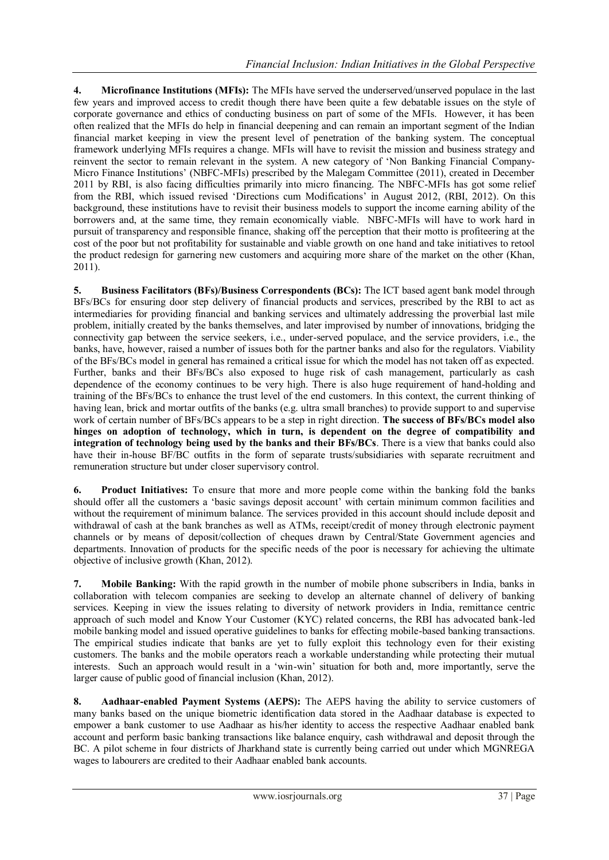**4. Microfinance Institutions (MFIs):** The MFIs have served the underserved/unserved populace in the last few years and improved access to credit though there have been quite a few debatable issues on the style of corporate governance and ethics of conducting business on part of some of the MFIs. However, it has been often realized that the MFIs do help in financial deepening and can remain an important segment of the Indian financial market keeping in view the present level of penetration of the banking system. The conceptual framework underlying MFIs requires a change. MFIs will have to revisit the mission and business strategy and reinvent the sector to remain relevant in the system. A new category of "Non Banking Financial Company-Micro Finance Institutions' (NBFC-MFIs) prescribed by the Malegam Committee (2011), created in December 2011 by RBI, is also facing difficulties primarily into micro financing. The NBFC-MFIs has got some relief from the RBI, which issued revised "Directions cum Modifications" in August 2012, (RBI, 2012). On this background, these institutions have to revisit their business models to support the income earning ability of the borrowers and, at the same time, they remain economically viable. NBFC-MFIs will have to work hard in pursuit of transparency and responsible finance, shaking off the perception that their motto is profiteering at the cost of the poor but not profitability for sustainable and viable growth on one hand and take initiatives to retool the product redesign for garnering new customers and acquiring more share of the market on the other (Khan, 2011).

**5. Business Facilitators (BFs)/Business Correspondents (BCs):** The ICT based agent bank model through BFs/BCs for ensuring door step delivery of financial products and services, prescribed by the RBI to act as intermediaries for providing financial and banking services and ultimately addressing the proverbial last mile problem, initially created by the banks themselves, and later improvised by number of innovations, bridging the connectivity gap between the service seekers, i.e., under-served populace, and the service providers, i.e., the banks, have, however, raised a number of issues both for the partner banks and also for the regulators. Viability of the BFs/BCs model in general has remained a critical issue for which the model has not taken off as expected. Further, banks and their BFs/BCs also exposed to huge risk of cash management, particularly as cash dependence of the economy continues to be very high. There is also huge requirement of hand-holding and training of the BFs/BCs to enhance the trust level of the end customers. In this context, the current thinking of having lean, brick and mortar outfits of the banks (e.g. ultra small branches) to provide support to and supervise work of certain number of BFs/BCs appears to be a step in right direction. **The success of BFs/BCs model also hinges on adoption of technology, which in turn, is dependent on the degree of compatibility and integration of technology being used by the banks and their BFs/BCs**. There is a view that banks could also have their in-house BF/BC outfits in the form of separate trusts/subsidiaries with separate recruitment and remuneration structure but under closer supervisory control.

**6. Product Initiatives:** To ensure that more and more people come within the banking fold the banks should offer all the customers a "basic savings deposit account" with certain minimum common facilities and without the requirement of minimum balance. The services provided in this account should include deposit and withdrawal of cash at the bank branches as well as ATMs, receipt/credit of money through electronic payment channels or by means of deposit/collection of cheques drawn by Central/State Government agencies and departments. Innovation of products for the specific needs of the poor is necessary for achieving the ultimate objective of inclusive growth (Khan, 2012).

**7. Mobile Banking:** With the rapid growth in the number of mobile phone subscribers in India, banks in collaboration with telecom companies are seeking to develop an alternate channel of delivery of banking services. Keeping in view the issues relating to diversity of network providers in India, remittance centric approach of such model and Know Your Customer (KYC) related concerns, the RBI has advocated bank-led mobile banking model and issued operative guidelines to banks for effecting mobile-based banking transactions. The empirical studies indicate that banks are yet to fully exploit this technology even for their existing customers. The banks and the mobile operators reach a workable understanding while protecting their mutual interests. Such an approach would result in a "win-win" situation for both and, more importantly, serve the larger cause of public good of financial inclusion (Khan, 2012).

**8. Aadhaar-enabled Payment Systems (AEPS):** The AEPS having the ability to service customers of many banks based on the unique biometric identification data stored in the Aadhaar database is expected to empower a bank customer to use Aadhaar as his/her identity to access the respective Aadhaar enabled bank account and perform basic banking transactions like balance enquiry, cash withdrawal and deposit through the BC. A pilot scheme in four districts of Jharkhand state is currently being carried out under which MGNREGA wages to labourers are credited to their Aadhaar enabled bank accounts.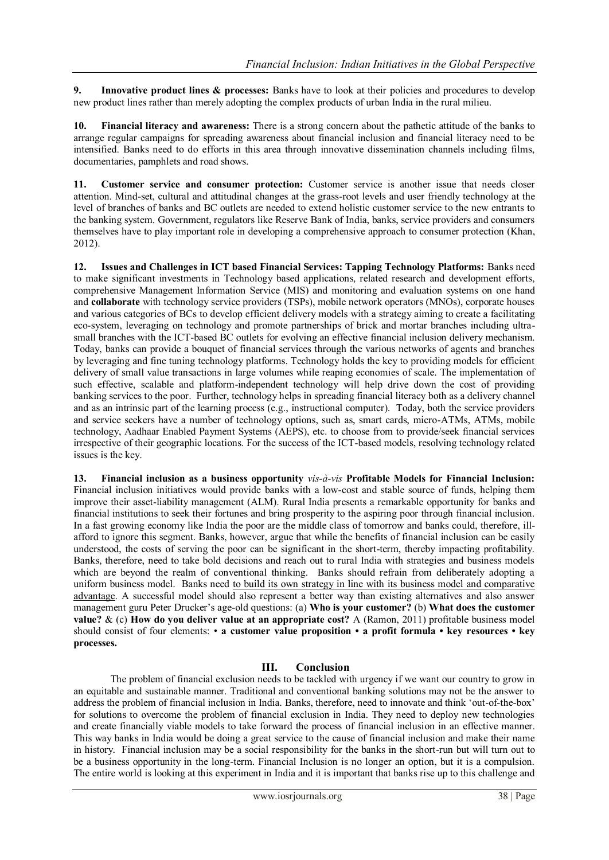**9. Innovative product lines & processes:** Banks have to look at their policies and procedures to develop new product lines rather than merely adopting the complex products of urban India in the rural milieu.

**10. Financial literacy and awareness:** There is a strong concern about the pathetic attitude of the banks to arrange regular campaigns for spreading awareness about financial inclusion and financial literacy need to be intensified. Banks need to do efforts in this area through innovative dissemination channels including films, documentaries, pamphlets and road shows.

**11. Customer service and consumer protection:** Customer service is another issue that needs closer attention. Mind-set, cultural and attitudinal changes at the grass-root levels and user friendly technology at the level of branches of banks and BC outlets are needed to extend holistic customer service to the new entrants to the banking system. Government, regulators like Reserve Bank of India, banks, service providers and consumers themselves have to play important role in developing a comprehensive approach to consumer protection (Khan, 2012).

**12. Issues and Challenges in ICT based Financial Services: Tapping Technology Platforms:** Banks need to make significant investments in Technology based applications, related research and development efforts, comprehensive Management Information Service (MIS) and monitoring and evaluation systems on one hand and **collaborate** with technology service providers (TSPs), mobile network operators (MNOs), corporate houses and various categories of BCs to develop efficient delivery models with a strategy aiming to create a facilitating eco-system, leveraging on technology and promote partnerships of brick and mortar branches including ultrasmall branches with the ICT-based BC outlets for evolving an effective financial inclusion delivery mechanism. Today, banks can provide a bouquet of financial services through the various networks of agents and branches by leveraging and fine tuning technology platforms. Technology holds the key to providing models for efficient delivery of small value transactions in large volumes while reaping economies of scale. The implementation of such effective, scalable and platform-independent technology will help drive down the cost of providing banking services to the poor. Further, technology helps in spreading financial literacy both as a delivery channel and as an intrinsic part of the learning process (e.g., instructional computer). Today, both the service providers and service seekers have a number of technology options, such as, smart cards, micro-ATMs, ATMs, mobile technology, Aadhaar Enabled Payment Systems (AEPS), etc. to choose from to provide/seek financial services irrespective of their geographic locations. For the success of the ICT-based models, resolving technology related issues is the key.

**13. Financial inclusion as a business opportunity** *vis-à-vis* **Profitable Models for Financial Inclusion:**  Financial inclusion initiatives would provide banks with a low-cost and stable source of funds, helping them improve their asset-liability management (ALM). Rural India presents a remarkable opportunity for banks and financial institutions to seek their fortunes and bring prosperity to the aspiring poor through financial inclusion. In a fast growing economy like India the poor are the middle class of tomorrow and banks could, therefore, illafford to ignore this segment. Banks, however, argue that while the benefits of financial inclusion can be easily understood, the costs of serving the poor can be significant in the short-term, thereby impacting profitability. Banks, therefore, need to take bold decisions and reach out to rural India with strategies and business models which are beyond the realm of conventional thinking. Banks should refrain from deliberately adopting a uniform business model. Banks need to build its own strategy in line with its business model and comparative advantage. A successful model should also represent a better way than existing alternatives and also answer management guru Peter Drucker's age-old questions: (a) Who is your customer? (b) What does the customer **value?** & (c) **How do you deliver value at an appropriate cost?** A (Ramon, 2011) profitable business model should consist of four elements: • **a customer value proposition • a profit formula • key resources • key processes.**

## **III. Conclusion**

The problem of financial exclusion needs to be tackled with urgency if we want our country to grow in an equitable and sustainable manner. Traditional and conventional banking solutions may not be the answer to address the problem of financial inclusion in India. Banks, therefore, need to innovate and think "out-of-the-box" for solutions to overcome the problem of financial exclusion in India. They need to deploy new technologies and create financially viable models to take forward the process of financial inclusion in an effective manner. This way banks in India would be doing a great service to the cause of financial inclusion and make their name in history. Financial inclusion may be a social responsibility for the banks in the short-run but will turn out to be a business opportunity in the long-term. Financial Inclusion is no longer an option, but it is a compulsion. The entire world is looking at this experiment in India and it is important that banks rise up to this challenge and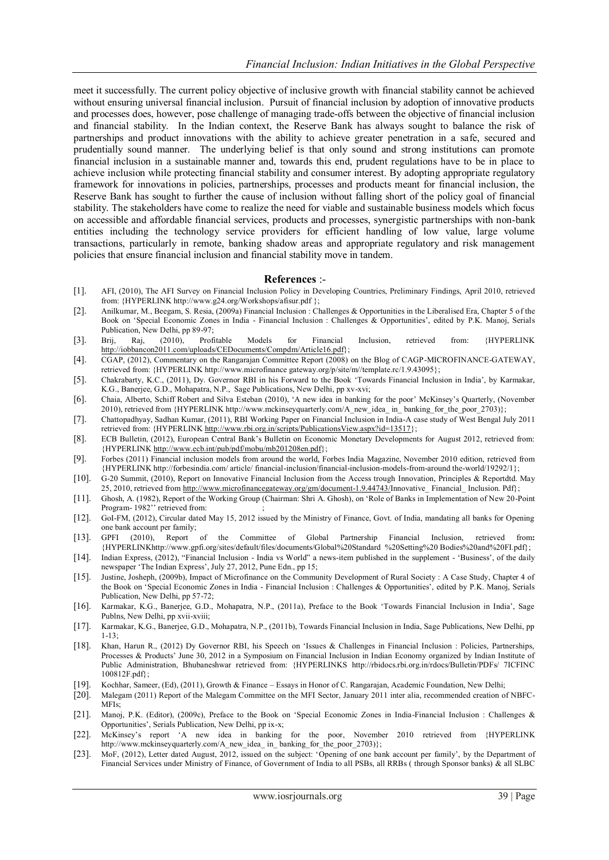meet it successfully. The current policy objective of inclusive growth with financial stability cannot be achieved without ensuring universal financial inclusion. Pursuit of financial inclusion by adoption of innovative products and processes does, however, pose challenge of managing trade-offs between the objective of financial inclusion and financial stability. In the Indian context, the Reserve Bank has always sought to balance the risk of partnerships and product innovations with the ability to achieve greater penetration in a safe, secured and prudentially sound manner. The underlying belief is that only sound and strong institutions can promote financial inclusion in a sustainable manner and, towards this end, prudent regulations have to be in place to achieve inclusion while protecting financial stability and consumer interest. By adopting appropriate regulatory framework for innovations in policies, partnerships, processes and products meant for financial inclusion, the Reserve Bank has sought to further the cause of inclusion without falling short of the policy goal of financial stability. The stakeholders have come to realize the need for viable and sustainable business models which focus on accessible and affordable financial services, products and processes, synergistic partnerships with non-bank entities including the technology service providers for efficient handling of low value, large volume transactions, particularly in remote, banking shadow areas and appropriate regulatory and risk management policies that ensure financial inclusion and financial stability move in tandem.

#### **References** :-

- [1]. AFI, (2010), The AFI Survey on Financial Inclusion Policy in Developing Countries, Preliminary Findings, April 2010, retrieved from: {HYPERLINK http://www.g24.org/Workshops/afisur.pdf };
- [2]. Anilkumar, M., Beegam, S. Resia, (2009a) Financial Inclusion : Challenges & Opportunities in the Liberalised Era, Chapter 5 of the Book on 'Special Economic Zones in India - Financial Inclusion : Challenges & Opportunities', edited by P.K. Manoj, Serials Publication, New Delhi, pp 89-97;
- [3]. Brij, Raj, (2010), Profitable Models for Financial Inclusion, retrieved from: {HYPERLINK [http://iobbancon2011.com/uploads/CEDocuments/Compdm/Article16.pdf}](http://iobbancon2011.com/uploads/CEDocuments/Compdm/Article16.pdf);
- [4]. CGAP, (2012), Commentary on the Rangarajan Committee Report (2008) on the Blog of CAGP-MICROFINANCE-GATEWAY, retrieved from: {HYPERLINK http://www.microfinance gateway.org/p/site/m//template.rc/1.9.43095};
- [5]. Chakrabarty, K.C., (2011), Dy. Governor RBI in his Forward to the Book "Towards Financial Inclusion in India", by Karmakar, K.G., Banerjee, G.D., Mohapatra, N.P., Sage Publications, New Delhi, pp xv-xvi;
- [6]. Chaia, Alberto, Schiff Robert and Silva Esteban (2010), "A new idea in banking for the poor" McKinsey"s Quarterly, (November 2010), retrieved from {HYPERLINK http://www.mckinseyquarterly.com/A\_new\_idea\_ in\_ banking\_for\_the\_poor\_2703)};
- [7]. Chattopadhyay, Sadhan Kumar, (2011), RBI Working Paper on Financial Inclusion in India-A case study of West Bengal July 2011 retrieved from: {HYPERLIN[K http://www.rbi.org.in/scripts/PublicationsView.aspx?id=13517}](http://www.rbi.org.in/scripts/PublicationsView.aspx?id=13517);
- [8]. ECB Bulletin, (2012), European Central Bank"s Bulletin on Economic Monetary Developments for August 2012, retrieved from: {HYPERLIN[K http://www.ecb.int/pub/pdf/mobu/mb201208en.pdf}](http://www.ecb.int/pub/pdf/mobu/mb201208en.pdf);
- [9]. Forbes (2011) Financial inclusion models from around the world, Forbes India Magazine, November 2010 edition, retrieved from {HYPERLINK http://forbesindia.com/ article/ financial-inclusion/financial-inclusion-models-from-around the-world/19292/1};
- [10]. G-20 Summit, (2010), Report on Innovative Financial Inclusion from the Access trough Innovation, Principles & Reportdtd. May 25, 2010, retrieved from [http://www.microfinancegateway.org/gm/document-1.9.44743/I](http://www.microfinancegateway.org/gm/document-1.9.44743/)nnovative\_ Financial\_ Inclusion. Pdf};
- [11]. Ghosh, A. (1982), Report of the Working Group (Chairman: Shri A. Ghosh), on "Role of Banks in Implementation of New 20-Point Program- 1982" retrieved from:
- [12]. GoI-FM, (2012), Circular dated May 15, 2012 issued by the Ministry of Finance, Govt. of India, mandating all banks for Opening one bank account per family;
- [13]. GPFI (2010), Report of the Committee of Global Partnership Financial Inclusion, retrieved from**:**  {HYPERLINKhttp://www.gpfi.org/sites/default/files/documents/Global%20Standard %20Setting%20 Bodies%20and%20FI.pdf};
- [14]. Indian Express, (2012), "Financial Inclusion India vs World" a news-item published in the supplement "Business", of the daily newspaper 'The Indian Express', July 27, 2012, Pune Edn., pp 15;
- [15]. Justine, Josheph, (2009b), Impact of Microfinance on the Community Development of Rural Society : A Case Study, Chapter 4 of the Book on 'Special Economic Zones in India - Financial Inclusion : Challenges & Opportunities', edited by P.K. Manoj, Serials Publication, New Delhi, pp 57-72;
- [16]. Karmakar, K.G., Banerjee, G.D., Mohapatra, N.P., (2011a), Preface to the Book "Towards Financial Inclusion in India", Sage Publns, New Delhi, pp xvii-xviii;
- [17]. Karmakar, K.G., Banerjee, G.D., Mohapatra, N.P., (2011b), Towards Financial Inclusion in India, Sage Publications, New Delhi, pp 1-13;
- [18]. Khan, Harun R., (2012) Dy Governor RBI, his Speech on 'Issues & Challenges in Financial Inclusion : Policies, Partnerships, Processes & Products' June 30, 2012 in a Symposium on Financial Inclusion in Indian Economy organized by Indian Institute of Public Administration, Bhubaneshwar retrieved from: {HYPERLINKS http://rbidocs.rbi.org.in/rdocs/Bulletin/PDFs/ 7ICFINC 100812F.pdf};
- [19]. Kochhar, Sameer, (Ed), (2011), Growth & Finance Essays in Honor of C. Rangarajan, Academic Foundation, New Delhi;
- [20]. Malegam (2011) Report of the Malegam Committee on the MFI Sector, January 2011 inter alia, recommended creation of NBFC-MFIs;
- [21]. Manoj, P.K. (Editor), (2009c), Preface to the Book on "Special Economic Zones in India-Financial Inclusion : Challenges & Opportunities", Serials Publication, New Delhi, pp ix-x;
- [22]. McKinsey"s report "A new idea in banking for the poor, November 2010 retrieved from {HYPERLINK http://www.mckinseyquarterly.com/A\_new\_idea\_ in\_banking\_for\_the\_poor\_2703)};
- [23]. MoF, (2012), Letter dated August, 2012, issued on the subject: 'Opening of one bank account per family', by the Department of Financial Services under Ministry of Finance, of Government of India to all PSBs, all RRBs ( through Sponsor banks) & all SLBC